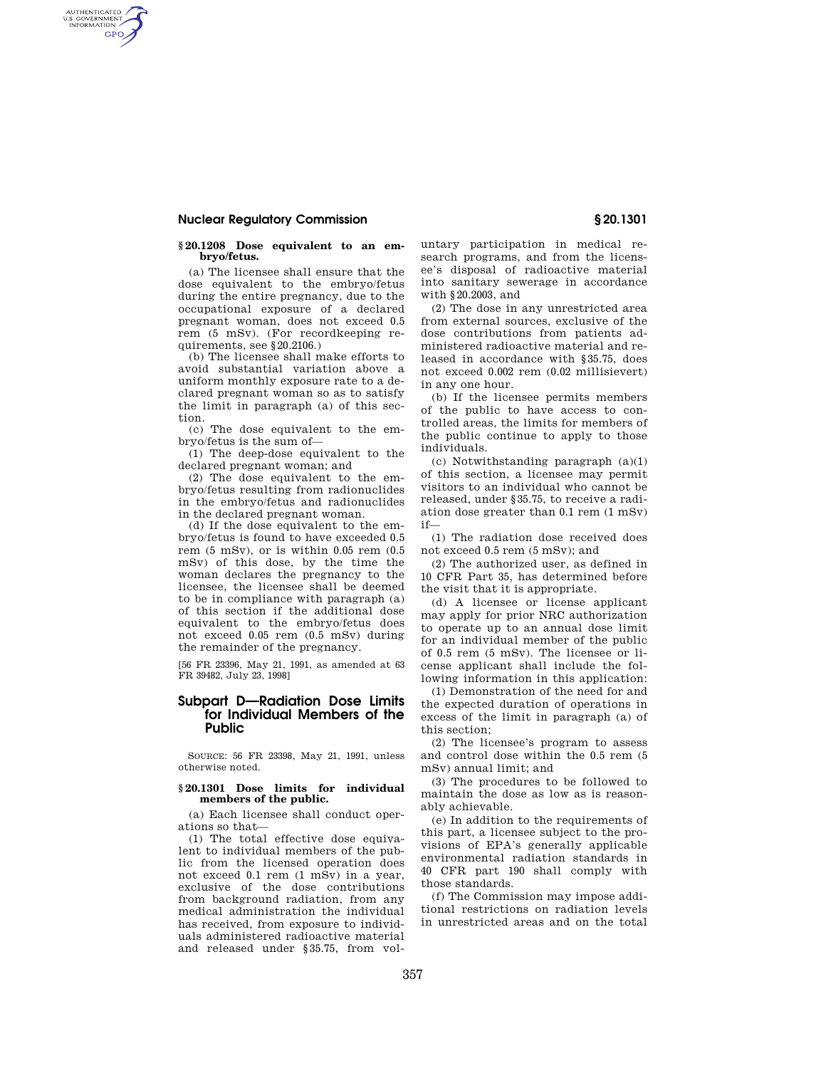### **Nuclear Regulatory Commission § 20.1301**

AUTHENTICATED<br>U.S. GOVERNMENT<br>INFORMATION GPO

#### **§ 20.1208 Dose equivalent to an embryo/fetus.**

(a) The licensee shall ensure that the dose equivalent to the embryo/fetus during the entire pregnancy, due to the occupational exposure of a declared pregnant woman, does not exceed 0.5 rem (5 mSv). (For recordkeeping requirements, see §20.2106.)

(b) The licensee shall make efforts to avoid substantial variation above a uniform monthly exposure rate to a declared pregnant woman so as to satisfy the limit in paragraph (a) of this section.

(c) The dose equivalent to the embryo/fetus is the sum of—

(1) The deep-dose equivalent to the declared pregnant woman; and

(2) The dose equivalent to the embryo/fetus resulting from radionuclides in the embryo/fetus and radionuclides in the declared pregnant woman.

(d) If the dose equivalent to the embryo/fetus is found to have exceeded 0.5 rem (5 mSv), or is within 0.05 rem (0.5 mSv) of this dose, by the time the woman declares the pregnancy to the licensee, the licensee shall be deemed to be in compliance with paragraph (a) of this section if the additional dose equivalent to the embryo/fetus does not exceed 0.05 rem (0.5 mSv) during the remainder of the pregnancy.

[56 FR 23396, May 21, 1991, as amended at 63 FR 39482, July 23, 1998]

# **Subpart D—Radiation Dose Limits for Individual Members of the Public**

SOURCE: 56 FR 23398, May 21, 1991, unless otherwise noted.

### **§ 20.1301 Dose limits for individual members of the public.**

(a) Each licensee shall conduct operations so that—

(1) The total effective dose equivalent to individual members of the public from the licensed operation does not exceed 0.1 rem (1 mSv) in a year, exclusive of the dose contributions from background radiation, from any medical administration the individual has received, from exposure to individuals administered radioactive material and released under §35.75, from vol-

untary participation in medical research programs, and from the licensee's disposal of radioactive material into sanitary sewerage in accordance with §20.2003, and

(2) The dose in any unrestricted area from external sources, exclusive of the dose contributions from patients administered radioactive material and released in accordance with §35.75, does not exceed 0.002 rem (0.02 millisievert) in any one hour.

(b) If the licensee permits members of the public to have access to controlled areas, the limits for members of the public continue to apply to those individuals.

(c) Notwithstanding paragraph (a)(1) of this section, a licensee may permit visitors to an individual who cannot be released, under §35.75, to receive a radiation dose greater than 0.1 rem (1 mSv) if—

(1) The radiation dose received does not exceed 0.5 rem (5 mSv); and

(2) The authorized user, as defined in 10 CFR Part 35, has determined before the visit that it is appropriate.

(d) A licensee or license applicant may apply for prior NRC authorization to operate up to an annual dose limit for an individual member of the public of 0.5 rem (5 mSv). The licensee or license applicant shall include the following information in this application:

(1) Demonstration of the need for and the expected duration of operations in excess of the limit in paragraph (a) of this section;

(2) The licensee's program to assess and control dose within the 0.5 rem (5 mSv) annual limit; and

(3) The procedures to be followed to maintain the dose as low as is reasonably achievable.

(e) In addition to the requirements of this part, a licensee subject to the provisions of EPA's generally applicable environmental radiation standards in 40 CFR part 190 shall comply with those standards.

(f) The Commission may impose additional restrictions on radiation levels in unrestricted areas and on the total